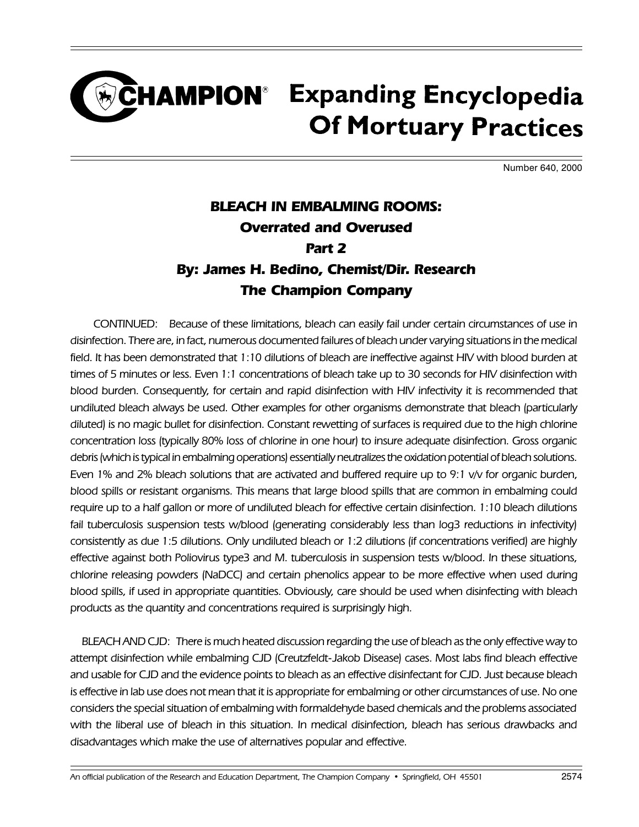#### CHAMPION<sup>®</sup> Expanding Encyclopedia **Of Mortuary Practices**

Number 640, 2000

#### BLEACH IN EMBALMING ROOMS: Overrated and Overused Part 2 By: James H. Bedino, Chemist/Dir. Research The Champion Company

CONTINUED: Because of these limitations, bleach can easily fail under certain circumstances of use in disinfection. There are, in fact, numerous documented failures of bleach under varying situations in the medical field. It has been demonstrated that 1:10 dilutions of bleach are ineffective against HIV with blood burden at times of 5 minutes or less. Even 1:1 concentrations of bleach take up to 30 seconds for HIV disinfection with blood burden. Consequently, for certain and rapid disinfection with HIV infectivity it is recommended that undiluted bleach always be used. Other examples for other organisms demonstrate that bleach (particularly diluted) is no magic bullet for disinfection. Constant rewetting of surfaces is required due to the high chlorine concentration loss (typically 80% loss of chlorine in one hour) to insure adequate disinfection. Gross organic debris (which is typical in embalming operations) essentially neutralizes the oxidation potential of bleach solutions. Even 1% and 2% bleach solutions that are activated and buffered require up to 9:1 v/v for organic burden, blood spills or resistant organisms. This means that large blood spills that are common in embalming could require up to a half gallon or more of undiluted bleach for effective certain disinfection. 1:10 bleach dilutions fail tuberculosis suspension tests w/blood (generating considerably less than log3 reductions in infectivity) consistently as due 1:5 dilutions. Only undiluted bleach or 1:2 dilutions (if concentrations verified) are highly effective against both Poliovirus type3 and M. tuberculosis in suspension tests w/blood. In these situations, chlorine releasing powders (NaDCC) and certain phenolics appear to be more effective when used during blood spills, if used in appropriate quantities. Obviously, care should be used when disinfecting with bleach products as the quantity and concentrations required is surprisingly high.

BLEACH AND CJD: There is much heated discussion regarding the use of bleach as the only effective way to attempt disinfection while embalming CJD (Creutzfeldt-Jakob Disease) cases. Most labs find bleach effective and usable for CJD and the evidence points to bleach as an effective disinfectant for CJD. Just because bleach is effective in lab use does not mean that it is appropriate for embalming or other circumstances of use. No one considers the special situation of embalming with formaldehyde based chemicals and the problems associated with the liberal use of bleach in this situation. In medical disinfection, bleach has serious drawbacks and disadvantages which make the use of alternatives popular and effective.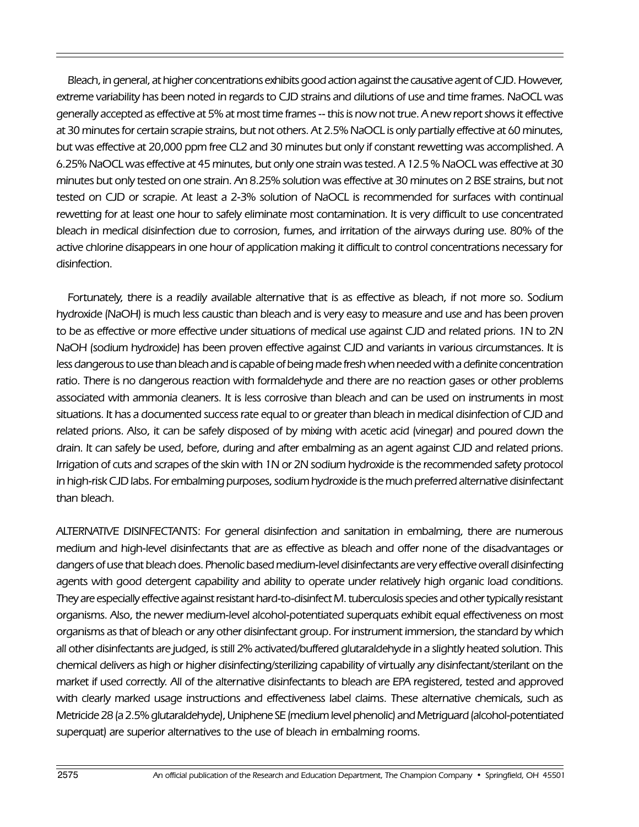Bleach, in general, at higher concentrations exhibits good action against the causative agent of CJD. However, extreme variability has been noted in regards to CJD strains and dilutions of use and time frames. NaOCL was generally accepted as effective at 5% at most time frames -- this is now not true. A new report shows it effective at 30 minutes for certain scrapie strains, but not others. At 2.5% NaOCL is only partially effective at 60 minutes, but was effective at 20,000 ppm free CL2 and 30 minutes but only if constant rewetting was accomplished. A 6.25% NaOCL was effective at 45 minutes, but only one strain was tested. A 12.5 % NaOCL was effective at 30 minutes but only tested on one strain. An 8.25% solution was effective at 30 minutes on 2 BSE strains, but not tested on CJD or scrapie. At least a 2-3% solution of NaOCL is recommended for surfaces with continual rewetting for at least one hour to safely eliminate most contamination. It is very difficult to use concentrated bleach in medical disinfection due to corrosion, fumes, and irritation of the airways during use. 80% of the active chlorine disappears in one hour of application making it difficult to control concentrations necessary for disinfection.

Fortunately, there is a readily available alternative that is as effective as bleach, if not more so. Sodium hydroxide (NaOH) is much less caustic than bleach and is very easy to measure and use and has been proven to be as effective or more effective under situations of medical use against CJD and related prions. 1N to 2N NaOH (sodium hydroxide) has been proven effective against CJD and variants in various circumstances. It is less dangerous to use than bleach and is capable of being made fresh when needed with a definite concentration ratio. There is no dangerous reaction with formaldehyde and there are no reaction gases or other problems associated with ammonia cleaners. It is less corrosive than bleach and can be used on instruments in most situations. It has a documented success rate equal to or greater than bleach in medical disinfection of CJD and related prions. Also, it can be safely disposed of by mixing with acetic acid (vinegar) and poured down the drain. It can safely be used, before, during and after embalming as an agent against CJD and related prions. Irrigation of cuts and scrapes of the skin with 1N or 2N sodium hydroxide is the recommended safety protocol in high-risk CJD labs. For embalming purposes, sodium hydroxide is the much preferred alternative disinfectant than bleach.

ALTERNATIVE DISINFECTANTS: For general disinfection and sanitation in embalming, there are numerous medium and high-level disinfectants that are as effective as bleach and offer none of the disadvantages or dangers of use that bleach does. Phenolic based medium-level disinfectants are very effective overall disinfecting agents with good detergent capability and ability to operate under relatively high organic load conditions. They are especially effective against resistant hard-to-disinfect M. tuberculosis species and other typically resistant organisms. Also, the newer medium-level alcohol-potentiated superquats exhibit equal effectiveness on most organisms as that of bleach or any other disinfectant group. For instrument immersion, the standard by which all other disinfectants are judged, is still 2% activated/buffered glutaraldehyde in a slightly heated solution. This chemical delivers as high or higher disinfecting/sterilizing capability of virtually any disinfectant/sterilant on the market if used correctly. All of the alternative disinfectants to bleach are EPA registered, tested and approved with clearly marked usage instructions and effectiveness label claims. These alternative chemicals, such as Metricide 28 (a 2.5% glutaraldehyde), Uniphene SE (medium level phenolic) and Metriguard (alcohol-potentiated superquat) are superior alternatives to the use of bleach in embalming rooms.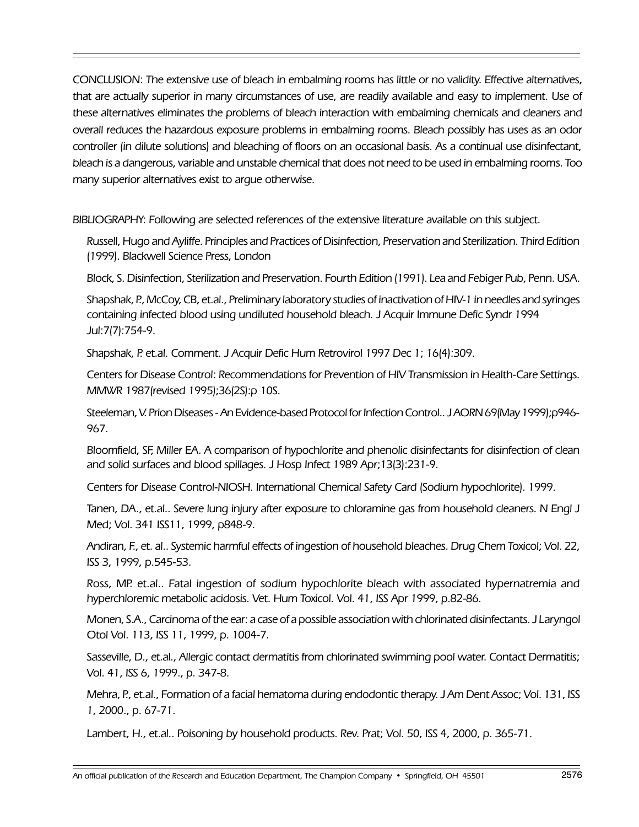CONCLUSION: The extensive use of bleach in embalming rooms has little or no validity. Effective alternatives, that are actually superior in many circumstances of use, are readily available and easy to implement. Use of these alternatives eliminates the problems of bleach interaction with embalming chemicals and cleaners and overall reduces the hazardous exposure problems in embalming rooms. Bleach possibly has uses as an odor controller (in dilute solutions) and bleaching of floors on an occasional basis. As a continual use disinfectant, bleach is a dangerous, variable and unstable chemical that does not need to be used in embalming rooms. Too many superior alternatives exist to argue otherwise.

BIBLIOGRAPHY: Following are selected references of the extensive literature available on this subject.

Russell, Hugo and Ayliffe. Principles and Practices of Disinfection, Preservation and Sterilization. Third Edition (1999). Blackwell Science Press, London

Block, S. Disinfection, Sterilization and Preservation. Fourth Edition (1991). Lea and Febiger Pub, Penn. USA.

Shapshak, P., McCoy, CB, et.al., Preliminary laboratory studies of inactivation of HIV-1 in needles and syringes containing infected blood using undiluted household bleach. J Acquir Immune Defic Syndr 1994 Jul:7(7):754-9.

Shapshak, P. et.al. Comment. J Acquir Defic Hum Retrovirol 1997 Dec 1; 16(4):309.

Centers for Disease Control: Recommendations for Prevention of HIV Transmission in Health-Care Settings. MMWR 1987(revised 1995);36(2S):p 10S.

Steeleman, V. Prion Diseases - An Evidence-based Protocol for Infection Control.. J AORN 69(May 1999);p946- 967.

Bloomfield, SF, Miller EA. A comparison of hypochlorite and phenolic disinfectants for disinfection of clean and solid surfaces and blood spillages. J Hosp Infect 1989 Apr;13(3):231-9.

Centers for Disease Control-NIOSH. International Chemical Safety Card (Sodium hypochlorite). 1999.

Tanen, DA., et.al.. Severe lung injury after exposure to chloramine gas from household cleaners. N Engl J Med; Vol. 341 ISS11, 1999, p848-9.

Andiran, F., et. al.. Systemic harmful effects of ingestion of household bleaches. Drug Chem Toxicol; Vol. 22, ISS 3, 1999, p.545-53.

Ross, MP. et.al.. Fatal ingestion of sodium hypochlorite bleach with associated hypernatremia and hyperchloremic metabolic acidosis. Vet. Hum Toxicol. Vol. 41, ISS Apr 1999, p.82-86.

Monen, S.A., Carcinoma of the ear: a case of a possible association with chlorinated disinfectants. J Laryngol Otol Vol. 113, ISS 11, 1999, p. 1004-7.

Sasseville, D., et.al., Allergic contact dermatitis from chlorinated swimming pool water. Contact Dermatitis; Vol. 41, ISS 6, 1999., p. 347-8.

Mehra, P., et.al., Formation of a facial hematoma during endodontic therapy. J Am Dent Assoc; Vol. 131, ISS 1, 2000., p. 67-71.

Lambert, H., et.al.. Poisoning by household products. Rev. Prat; Vol. 50, ISS 4, 2000, p. 365-71.